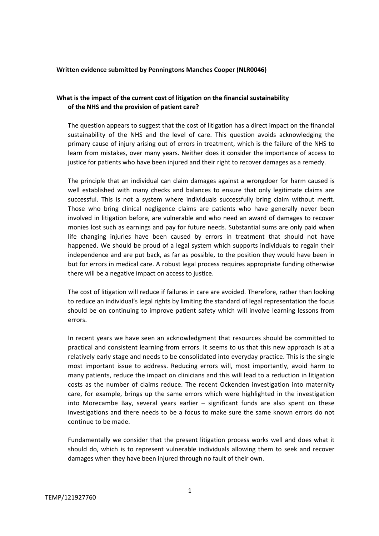#### **Written evidence submitted by Penningtons Manches Cooper (NLR0046)**

# **What is the impact of the current cost of litigation on the financial sustainability of the NHS and the provision of patient care?**

The question appears to suggest that the cost of litigation has a direct impact on the financial sustainability of the NHS and the level of care. This question avoids acknowledging the primary cause of injury arising out of errors in treatment, which is the failure of the NHS to learn from mistakes, over many years. Neither does it consider the importance of access to justice for patients who have been injured and their right to recover damages as a remedy.

The principle that an individual can claim damages against a wrongdoer for harm caused is well established with many checks and balances to ensure that only legitimate claims are successful. This is not a system where individuals successfully bring claim without merit. Those who bring clinical negligence claims are patients who have generally never been involved in litigation before, are vulnerable and who need an award of damages to recover monies lost such as earnings and pay for future needs. Substantial sums are only paid when life changing injuries have been caused by errors in treatment that should not have happened. We should be proud of a legal system which supports individuals to regain their independence and are put back, as far as possible, to the position they would have been in but for errors in medical care. A robust legal process requires appropriate funding otherwise there will be a negative impact on access to justice.

The cost of litigation will reduce if failures in care are avoided. Therefore, rather than looking to reduce an individual's legal rights by limiting the standard of legal representation the focus should be on continuing to improve patient safety which will involve learning lessons from errors.

In recent years we have seen an acknowledgment that resources should be committed to practical and consistent learning from errors. It seems to us that this new approach is at a relatively early stage and needs to be consolidated into everyday practice. This is the single most important issue to address. Reducing errors will, most importantly, avoid harm to many patients, reduce the impact on clinicians and this will lead to a reduction in litigation costs as the number of claims reduce. The recent Ockenden investigation into maternity care, for example, brings up the same errors which were highlighted in the investigation into Morecambe Bay, several years earlier – significant funds are also spent on these investigations and there needs to be a focus to make sure the same known errors do not continue to be made.

Fundamentally we consider that the present litigation process works well and does what it should do, which is to represent vulnerable individuals allowing them to seek and recover damages when they have been injured through no fault of their own.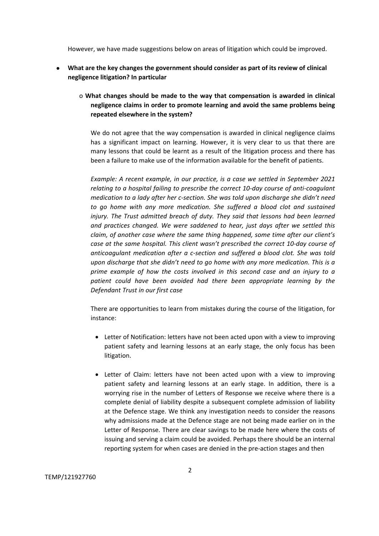However, we have made suggestions below on areas of litigation which could be improved.

- **What are the key changes the government should consider as part of its review of clinical negligence litigation? In particular**
	- o **What changes should be made to the way that compensation is awarded in clinical negligence claims in order to promote learning and avoid the same problems being repeated elsewhere in the system?**

We do not agree that the way compensation is awarded in clinical negligence claims has a significant impact on learning. However, it is very clear to us that there are many lessons that could be learnt as a result of the litigation process and there has been a failure to make use of the information available for the benefit of patients.

*Example: A recent example, in our practice, is a case we settled in September 2021 relating to a hospital failing to prescribe the correct 10-day course of anti-coagulant medication to a lady after her c-section. She was told upon discharge she didn't need to go home with any more medication. She suffered a blood clot and sustained injury. The Trust admitted breach of duty. They said that lessons had been learned and practices changed. We were saddened to hear, just days after we settled this claim, of another case where the same thing happened, some time after our client's case at the same hospital. This client wasn't prescribed the correct 10-day course of anticoagulant medication after a c-section and suffered a blood clot. She was told upon discharge that she didn't need to go home with any more medication. This is a prime example of how the costs involved in this second case and an injury to a patient could have been avoided had there been appropriate learning by the Defendant Trust in our first case*

There are opportunities to learn from mistakes during the course of the litigation, for instance:

- Letter of Notification: letters have not been acted upon with a view to improving patient safety and learning lessons at an early stage, the only focus has been litigation.
- Letter of Claim: letters have not been acted upon with a view to improving patient safety and learning lessons at an early stage. In addition, there is a worrying rise in the number of Letters of Response we receive where there is a complete denial of liability despite a subsequent complete admission of liability at the Defence stage. We think any investigation needs to consider the reasons why admissions made at the Defence stage are not being made earlier on in the Letter of Response. There are clear savings to be made here where the costs of issuing and serving a claim could be avoided. Perhaps there should be an internal reporting system for when cases are denied in the pre-action stages and then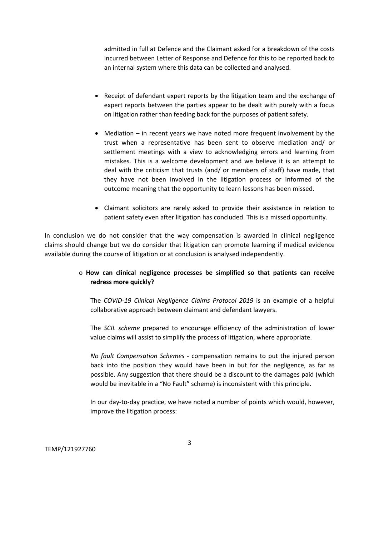admitted in full at Defence and the Claimant asked for a breakdown of the costs incurred between Letter of Response and Defence for this to be reported back to an internal system where this data can be collected and analysed.

- Receipt of defendant expert reports by the litigation team and the exchange of expert reports between the parties appear to be dealt with purely with a focus on litigation rather than feeding back for the purposes of patient safety.
- Mediation in recent years we have noted more frequent involvement by the trust when a representative has been sent to observe mediation and/ or settlement meetings with a view to acknowledging errors and learning from mistakes. This is a welcome development and we believe it is an attempt to deal with the criticism that trusts (and/ or members of staff) have made, that they have not been involved in the litigation process or informed of the outcome meaning that the opportunity to learn lessons has been missed.
- Claimant solicitors are rarely asked to provide their assistance in relation to patient safety even after litigation has concluded. This is a missed opportunity.

In conclusion we do not consider that the way compensation is awarded in clinical negligence claims should change but we do consider that litigation can promote learning if medical evidence available during the course of litigation or at conclusion is analysed independently.

# o **How can clinical negligence processes be simplified so that patients can receive redress more quickly?**

The *COVID-19 Clinical Negligence Claims Protocol 2019* is an example of a helpful collaborative approach between claimant and defendant lawyers.

The *SCIL scheme* prepared to encourage efficiency of the administration of lower value claims will assist to simplify the process of litigation, where appropriate.

*No fault Compensation Schemes* - compensation remains to put the injured person back into the position they would have been in but for the negligence, as far as possible. Any suggestion that there should be a discount to the damages paid (which would be inevitable in a "No Fault" scheme) is inconsistent with this principle.

In our day-to-day practice, we have noted a number of points which would, however, improve the litigation process:

TEMP/121927760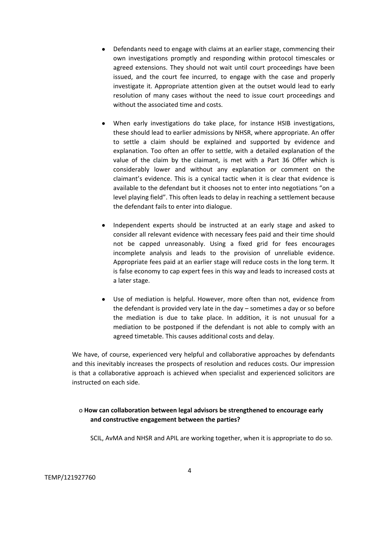- Defendants need to engage with claims at an earlier stage, commencing their own investigations promptly and responding within protocol timescales or agreed extensions. They should not wait until court proceedings have been issued, and the court fee incurred, to engage with the case and properly investigate it. Appropriate attention given at the outset would lead to early resolution of many cases without the need to issue court proceedings and without the associated time and costs.
- When early investigations do take place, for instance HSIB investigations, these should lead to earlier admissions by NHSR, where appropriate. An offer to settle a claim should be explained and supported by evidence and explanation. Too often an offer to settle, with a detailed explanation of the value of the claim by the claimant, is met with a Part 36 Offer which is considerably lower and without any explanation or comment on the claimant's evidence. This is a cynical tactic when it is clear that evidence is available to the defendant but it chooses not to enter into negotiations "on a level playing field". This often leads to delay in reaching a settlement because the defendant fails to enter into dialogue.
- Independent experts should be instructed at an early stage and asked to consider all relevant evidence with necessary fees paid and their time should not be capped unreasonably. Using a fixed grid for fees encourages incomplete analysis and leads to the provision of unreliable evidence. Appropriate fees paid at an earlier stage will reduce costs in the long term. It is false economy to cap expert fees in this way and leads to increased costs at a later stage.
- Use of mediation is helpful. However, more often than not, evidence from the defendant is provided very late in the day – sometimes a day or so before the mediation is due to take place. In addition, it is not unusual for a mediation to be postponed if the defendant is not able to comply with an agreed timetable. This causes additional costs and delay.

We have, of course, experienced very helpful and collaborative approaches by defendants and this inevitably increases the prospects of resolution and reduces costs. Our impression is that a collaborative approach is achieved when specialist and experienced solicitors are instructed on each side.

# o **How can collaboration between legal advisors be strengthened to encourage early and constructive engagement between the parties?**

SCIL, AvMA and NHSR and APIL are working together, when it is appropriate to do so.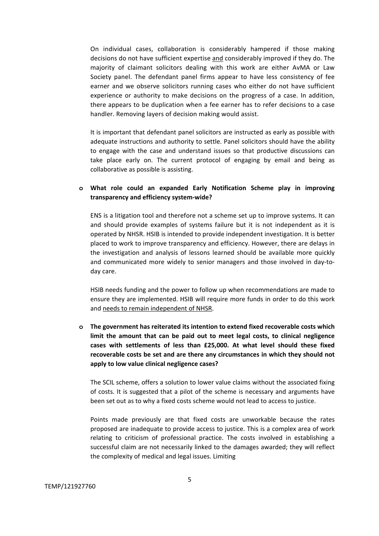On individual cases, collaboration is considerably hampered if those making decisions do not have sufficient expertise and considerably improved if they do. The majority of claimant solicitors dealing with this work are either AvMA or Law Society panel. The defendant panel firms appear to have less consistency of fee earner and we observe solicitors running cases who either do not have sufficient experience or authority to make decisions on the progress of a case. In addition, there appears to be duplication when a fee earner has to refer decisions to a case handler. Removing layers of decision making would assist.

It is important that defendant panel solicitors are instructed as early as possible with adequate instructions and authority to settle. Panel solicitors should have the ability to engage with the case and understand issues so that productive discussions can take place early on. The current protocol of engaging by email and being as collaborative as possible is assisting.

### **o What role could an expanded Early Notification Scheme play in improving transparency and efficiency system-wide?**

ENS is a litigation tool and therefore not a scheme set up to improve systems. It can and should provide examples of systems failure but it is not independent as it is operated by NHSR. HSIB is intended to provide independent investigation. It is better placed to work to improve transparency and efficiency. However, there are delays in the investigation and analysis of lessons learned should be available more quickly and communicated more widely to senior managers and those involved in day-today care.

HSIB needs funding and the power to follow up when recommendations are made to ensure they are implemented. HSIB will require more funds in order to do this work and needs to remain independent of NHSR.

**o The government has reiterated its intention to extend fixed recoverable costs which limit the amount that can be paid out to meet legal costs, to clinical negligence cases with settlements of less than £25,000. At what level should these fixed recoverable costs be set and are there any circumstances in which they should not apply to low value clinical negligence cases?**

The SCIL scheme, offers a solution to lower value claims without the associated fixing of costs. It is suggested that a pilot of the scheme is necessary and arguments have been set out as to why a fixed costs scheme would not lead to access to justice.

Points made previously are that fixed costs are unworkable because the rates proposed are inadequate to provide access to justice. This is a complex area of work relating to criticism of professional practice. The costs involved in establishing a successful claim are not necessarily linked to the damages awarded; they will reflect the complexity of medical and legal issues. Limiting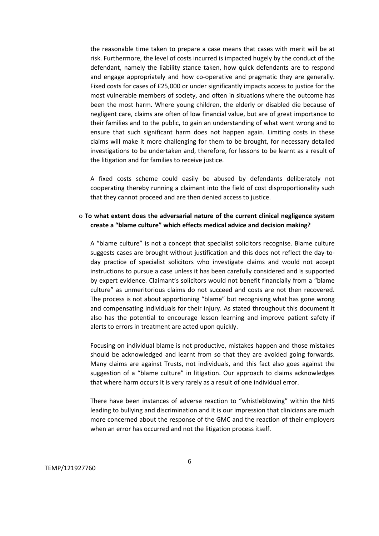the reasonable time taken to prepare a case means that cases with merit will be at risk. Furthermore, the level of costs incurred is impacted hugely by the conduct of the defendant, namely the liability stance taken, how quick defendants are to respond and engage appropriately and how co-operative and pragmatic they are generally. Fixed costs for cases of £25,000 or under significantly impacts access to justice for the most vulnerable members of society, and often in situations where the outcome has been the most harm. Where young children, the elderly or disabled die because of negligent care, claims are often of low financial value, but are of great importance to their families and to the public, to gain an understanding of what went wrong and to ensure that such significant harm does not happen again. Limiting costs in these claims will make it more challenging for them to be brought, for necessary detailed investigations to be undertaken and, therefore, for lessons to be learnt as a result of the litigation and for families to receive justice.

A fixed costs scheme could easily be abused by defendants deliberately not cooperating thereby running a claimant into the field of cost disproportionality such that they cannot proceed and are then denied access to justice.

#### o **To what extent does the adversarial nature of the current clinical negligence system create a "blame culture" which effects medical advice and decision making?**

A "blame culture" is not a concept that specialist solicitors recognise. Blame culture suggests cases are brought without justification and this does not reflect the day-today practice of specialist solicitors who investigate claims and would not accept instructions to pursue a case unless it has been carefully considered and is supported by expert evidence. Claimant's solicitors would not benefit financially from a "blame culture" as unmeritorious claims do not succeed and costs are not then recovered. The process is not about apportioning "blame" but recognising what has gone wrong and compensating individuals for their injury. As stated throughout this document it also has the potential to encourage lesson learning and improve patient safety if alerts to errors in treatment are acted upon quickly.

Focusing on individual blame is not productive, mistakes happen and those mistakes should be acknowledged and learnt from so that they are avoided going forwards. Many claims are against Trusts, not individuals, and this fact also goes against the suggestion of a "blame culture" in litigation. Our approach to claims acknowledges that where harm occurs it is very rarely as a result of one individual error.

There have been instances of adverse reaction to "whistleblowing" within the NHS leading to bullying and discrimination and it is our impression that clinicians are much more concerned about the response of the GMC and the reaction of their employers when an error has occurred and not the litigation process itself.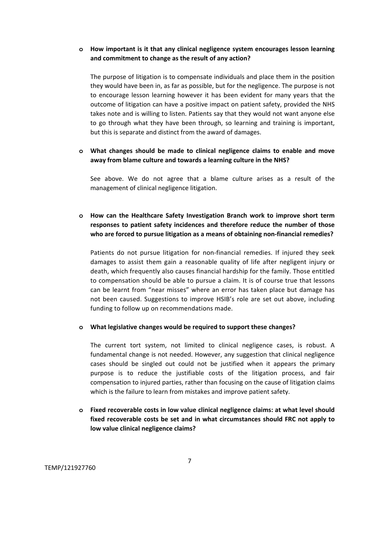### **o How important is it that any clinical negligence system encourages lesson learning and commitment to change as the result of any action?**

The purpose of litigation is to compensate individuals and place them in the position they would have been in, as far as possible, but for the negligence. The purpose is not to encourage lesson learning however it has been evident for many years that the outcome of litigation can have a positive impact on patient safety, provided the NHS takes note and is willing to listen. Patients say that they would not want anyone else to go through what they have been through, so learning and training is important, but this is separate and distinct from the award of damages.

### **o What changes should be made to clinical negligence claims to enable and move away from blame culture and towards a learning culture in the NHS?**

See above. We do not agree that a blame culture arises as a result of the management of clinical negligence litigation.

# **o How can the Healthcare Safety Investigation Branch work to improve short term responses to patient safety incidences and therefore reduce the number of those who are forced to pursue litigation as a means of obtaining non-financial remedies?**

Patients do not pursue litigation for non-financial remedies. If injured they seek damages to assist them gain a reasonable quality of life after negligent injury or death, which frequently also causes financial hardship for the family. Those entitled to compensation should be able to pursue a claim. It is of course true that lessons can be learnt from "near misses" where an error has taken place but damage has not been caused. Suggestions to improve HSIB's role are set out above, including funding to follow up on recommendations made.

#### **o What legislative changes would be required to support these changes?**

The current tort system, not limited to clinical negligence cases, is robust. A fundamental change is not needed. However, any suggestion that clinical negligence cases should be singled out could not be justified when it appears the primary purpose is to reduce the justifiable costs of the litigation process, and fair compensation to injured parties, rather than focusing on the cause of litigation claims which is the failure to learn from mistakes and improve patient safety.

# **o Fixed recoverable costs in low value clinical negligence claims: at what level should fixed recoverable costs be set and in what circumstances should FRC not apply to low value clinical negligence claims?**